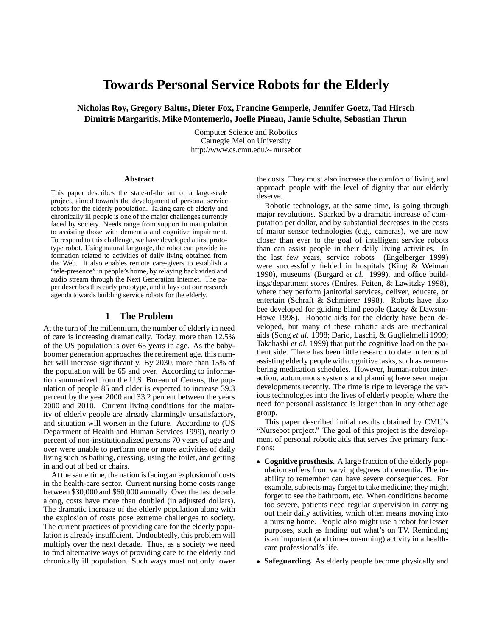# **Towards Personal Service Robots for the Elderly**

**Nicholas Roy, Gregory Baltus, Dieter Fox, Francine Gemperle, Jennifer Goetz, Tad Hirsch Dimitris Margaritis, Mike Montemerlo, Joelle Pineau, Jamie Schulte, Sebastian Thrun**

> Computer Science and Robotics Carnegie Mellon University http://www.cs.cmu.edu/~nursebot

#### **Abstract**

This paper describes the state-of-the art of a large-scale project, aimed towards the development of personal service robots for the elderly population. Taking care of elderly and chronically ill people is one of the major challenges currently faced by society. Needs range from support in manipulation to assisting those with dementia and cognitive impairment. To respond to this challenge, we have developed a first prototype robot. Using natural language, the robot can provide information related to activities of daily living obtained from the Web. It also enables remote care-givers to establish a "tele-presence" in people's home, by relaying back video and audio stream through the Next Generation Internet. The paper describes this early prototype, and it lays out our research agenda towards building service robots for the elderly.

### **1 The Problem**

At the turn of the millennium, the number of elderly in need of care is increasing dramatically. Today, more than 12.5% of the US population is over 65 years in age. As the babyboomer generation approaches the retirement age, this number will increase significantly. By 2030, more than 15% of the population will be 65 and over. According to information summarized from the U.S. Bureau of Census, the population of people 85 and older is expected to increase 39.3 percent by the year 2000 and 33.2 percent between the years 2000 and 2010. Current living conditions for the majority of elderly people are already alarmingly unsatisfactory, and situation will worsen in the future. According to (US Department of Health and Human Services 1999), nearly 9 percent of non-institutionalized persons 70 years of age and over were unable to perform one or more activities of daily living such as bathing, dressing, using the toilet, and getting in and out of bed or chairs.

At the same time, the nation is facing an explosion of costs in the health-care sector. Current nursing home costs range between \$30,000 and \$60,000 annually. Over the last decade along, costs have more than doubled (in adjusted dollars). The dramatic increase of the elderly population along with the explosion of costs pose extreme challenges to society. The current practices of providing care for the elderly population is already insufficient. Undoubtedly, this problem will multiply over the next decade. Thus, as a society we need to find alternative ways of providing care to the elderly and chronically ill population. Such ways must not only lower the costs. They must also increase the comfort of living, and approach people with the level of dignity that our elderly deserve.

Robotic technology, at the same time, is going through major revolutions. Sparked by a dramatic increase of computation per dollar, and by substantial decreases in the costs of major sensor technologies (e.g., cameras), we are now closer than ever to the goal of intelligent service robots than can assist people in their daily living activities. In the last few years, service robots (Engelberger 1999) were successfully fielded in hospitals (King & Weiman 1990), museums (Burgard *et al.* 1999), and office buildings/department stores (Endres, Feiten, & Lawitzky 1998), where they perform janitorial services, deliver, educate, or entertain (Schraft & Schmierer 1998). Robots have also bee developed for guiding blind people (Lacey & Dawson-Howe 1998). Robotic aids for the elderly have been developed, but many of these robotic aids are mechanical aids (Song *et al.* 1998; Dario, Laschi, & Guglielmelli 1999; Takahashi *et al.* 1999) that put the cognitive load on the patient side. There has been little research to date in terms of assisting elderly people with cognitive tasks, such as remembering medication schedules. However, human-robot interaction, autonomous systems and planning have seen major developments recently. The time is ripe to leverage the various technologies into the lives of elderly people, where the need for personal assistance is larger than in any other age group.

This paper described initial results obtained by CMU's "Nursebot project." The goal of this project is the development of personal robotic aids that serves five primary functions:

- **Cognitive prosthesis.** A large fraction of the elderly population suffers from varying degrees of dementia. The inability to remember can have severe consequences. For example, subjects may forget to take medicine; they might forget to see the bathroom, etc. When conditions become too severe, patients need regular supervision in carrying out their daily activities, which often means moving into a nursing home. People also might use a robot for lesser purposes, such as finding out what's on TV. Reminding is an important (and time-consuming) activity in a healthcare professional's life.
- **Safeguarding.** As elderly people become physically and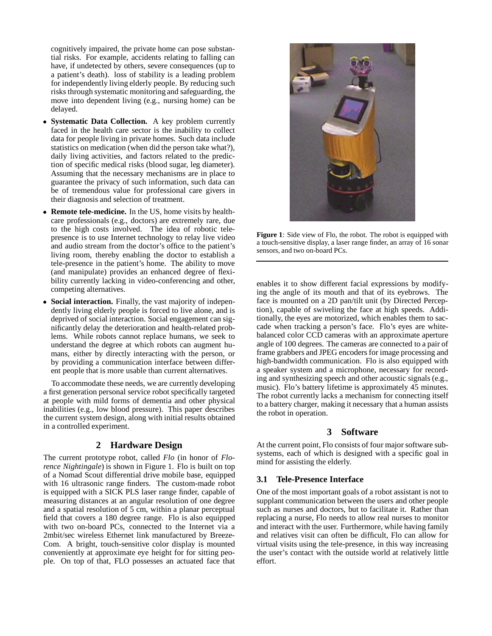cognitively impaired, the private home can pose substantial risks. For example, accidents relating to falling can have, if undetected by others, severe consequences (up to a patient's death). loss of stability is a leading problem for independently living elderly people. By reducing such risks through systematic monitoring and safeguarding, the move into dependent living (e.g., nursing home) can be delayed.

- **Systematic Data Collection.** A key problem currently faced in the health care sector is the inability to collect data for people living in private homes. Such data include statistics on medication (when did the person take what?), daily living activities, and factors related to the prediction of specific medical risks (blood sugar, leg diameter). Assuming that the necessary mechanisms are in place to guarantee the privacy of such information, such data can be of tremendous value for professional care givers in their diagnosis and selection of treatment.
- **Remote tele-medicine.** In the US, home visits by healthcare professionals (e.g., doctors) are extremely rare, due to the high costs involved. The idea of robotic telepresence is to use Internet technology to relay live video and audio stream from the doctor's office to the patient's living room, thereby enabling the doctor to establish a tele-presence in the patient's home. The ability to move (and manipulate) provides an enhanced degree of flexibility currently lacking in video-conferencing and other, competing alternatives.
- **Social interaction.** Finally, the vast majority of independently living elderly people is forced to live alone, and is deprived of social interaction. Social engagement can significantly delay the deterioration and health-related problems. While robots cannot replace humans, we seek to understand the degree at which robots can augment humans, either by directly interacting with the person, or by providing a communication interface between different people that is more usable than current alternatives.

To accommodate these needs, we are currently developing a first generation personal service robot specifically targeted at people with mild forms of dementia and other physical inabilities (e.g., low blood pressure). This paper describes the current system design, along with initial results obtained in a controlled experiment.

# **2 Hardware Design**

The current prototype robot, called *Flo* (in honor of *Florence Nightingale*) is shown in Figure 1. Flo is built on top of a Nomad Scout differential drive mobile base, equipped with 16 ultrasonic range finders. The custom-made robot is equipped with a SICK PLS laser range finder, capable of measuring distances at an angular resolution of one degree and a spatial resolution of 5 cm, within a planar perceptual field that covers a 180 degree range. Flo is also equipped with two on-board PCs, connected to the Internet via a 2mbit/sec wireless Ethernet link manufactured by Breeze-Com. A bright, touch-sensitive color display is mounted conveniently at approximate eye height for for sitting people. On top of that, FLO possesses an actuated face that



**Figure 1**: Side view of Flo, the robot. The robot is equipped with a touch-sensitive display, a laser range finder, an array of 16 sonar sensors, and two on-board PCs.

enables it to show different facial expressions by modifying the angle of its mouth and that of its eyebrows. The face is mounted on a 2D pan/tilt unit (by Directed Perception), capable of swiveling the face at high speeds. Additionally, the eyes are motorized, which enables them to saccade when tracking a person's face. Flo's eyes are whitebalanced color CCD cameras with an approximate aperture angle of 100 degrees. The cameras are connected to a pair of frame grabbers and JPEG encoders for image processing and high-bandwidth communication. Flo is also equipped with a speaker system and a microphone, necessary for recording and synthesizing speech and other acoustic signals (e.g., music). Flo's battery lifetime is approximately 45 minutes. The robot currently lacks a mechanism for connecting itself to a battery charger, making it necessary that a human assists the robot in operation.

# **3 Software**

At the current point, Flo consists of four major software subsystems, each of which is designed with a specific goal in mind for assisting the elderly.

# **3.1 Tele-Presence Interface**

One of the most important goals of a robot assistant is not to supplant communication between the users and other people such as nurses and doctors, but to facilitate it. Rather than replacing a nurse, Flo needs to allow real nurses to monitor and interact with the user. Furthermore, while having family and relatives visit can often be difficult, Flo can allow for virtual visits using the tele-presence, in this way increasing the user's contact with the outside world at relatively little effort.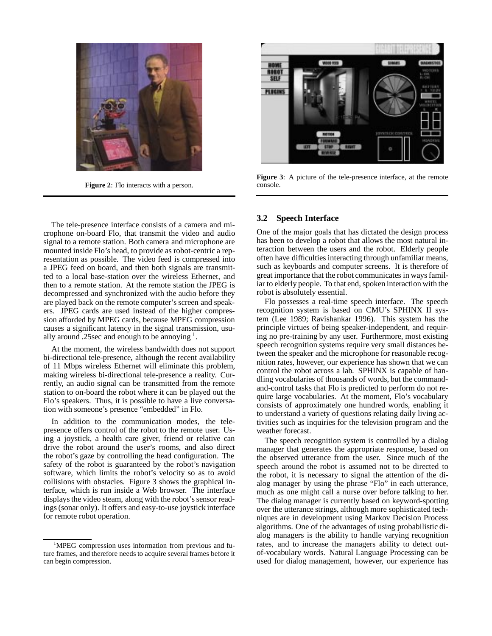

**Figure 2**: Flo interacts with a person.

The tele-presence interface consists of a camera and microphone on-board Flo, that transmit the video and audio signal to a remote station. Both camera and microphone are mounted inside Flo's head, to provide as robot-centric a representation as possible. The video feed is compressed into a JPEG feed on board, and then both signals are transmitted to a local base-station over the wireless Ethernet, and then to a remote station. At the remote station the JPEG is decompressed and synchronized with the audio before they are played back on the remote computer's screen and speakers. JPEG cards are used instead of the higher compression afforded by MPEG cards, because MPEG compression causes a significant latency in the signal transmission, usually around .25sec and enough to be annoying  $<sup>1</sup>$ .</sup>

At the moment, the wireless bandwidth does not support bi-directional tele-presence, although the recent availability of 11 Mbps wireless Ethernet will eliminate this problem, making wireless bi-directional tele-presence a reality. Currently, an audio signal can be transmitted from the remote station to on-board the robot where it can be played out the Flo's speakers. Thus, it is possible to have a live conversation with someone's presence "embedded" in Flo.

In addition to the communication modes, the telepresence offers control of the robot to the remote user. Using a joystick, a health care giver, friend or relative can drive the robot around the user's rooms, and also direct the robot's gaze by controlling the head configuration. The safety of the robot is guaranteed by the robot's navigation software, which limits the robot's velocity so as to avoid collisions with obstacles. Figure 3 shows the graphical interface, which is run inside a Web browser. The interface displays the video steam, along with the robot's sensor readings (sonar only). It offers and easy-to-use joystick interface for remote robot operation.



**Figure 3**: A picture of the tele-presence interface, at the remote console.

# **3.2 Speech Interface**

One of the major goals that has dictated the design process has been to develop a robot that allows the most natural interaction between the users and the robot. Elderly people often have difficulties interacting through unfamiliar means, such as keyboards and computer screens. It is therefore of great importance that the robot communicates in ways familiar to elderly people. To that end, spoken interaction with the robot is absolutely essential.

Flo possesses a real-time speech interface. The speech recognition system is based on CMU's SPHINX II system (Lee 1989; Ravishankar 1996). This system has the principle virtues of being speaker-independent, and requiring no pre-training by any user. Furthermore, most existing speech recognition systems require very small distances between the speaker and the microphone for reasonable recognition rates, however, our experience has shown that we can control the robot across a lab. SPHINX is capable of handling vocabularies of thousands of words, but the commandand-control tasks that Flo is predicted to perform do not require large vocabularies. At the moment, Flo's vocabulary consists of approximately one hundred words, enabling it to understand a variety of questions relating daily living activities such as inquiries for the television program and the weather forecast.

The speech recognition system is controlled by a dialog manager that generates the appropriate response, based on the observed utterance from the user. Since much of the speech around the robot is assumed not to be directed to the robot, it is necessary to signal the attention of the dialog manager by using the phrase "Flo" in each utterance, much as one might call a nurse over before talking to her. The dialog manager is currently based on keyword-spotting over the utterance strings, although more sophisticated techniques are in development using Markov Decision Process algorithms. One of the advantages of using probabilistic dialog managers is the ability to handle varying recognition rates, and to increase the managers ability to detect outof-vocabulary words. Natural Language Processing can be used for dialog management, however, our experience has

<sup>&</sup>lt;sup>1</sup>MPEG compression uses information from previous and future frames, and therefore needs to acquire several frames before it can begin compression.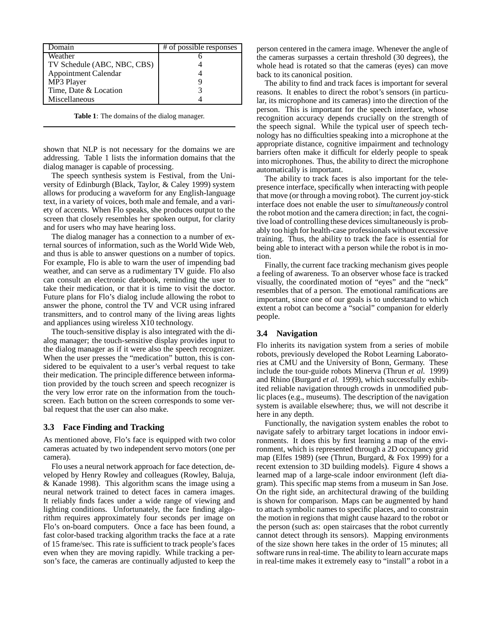| <b>Domain</b>               | # of possible responses |
|-----------------------------|-------------------------|
| Weather                     |                         |
| TV Schedule (ABC, NBC, CBS) |                         |
| Appointment Calendar        |                         |
| MP3 Player                  |                         |
| Time, Date & Location       |                         |
| Miscellaneous               |                         |

**Table 1**: The domains of the dialog manager.

shown that NLP is not necessary for the domains we are addressing. Table 1 lists the information domains that the dialog manager is capable of processing.

The speech synthesis system is Festival, from the University of Edinburgh (Black, Taylor, & Caley 1999) system allows for producing a waveform for any English-language text, in a variety of voices, both male and female, and a variety of accents. When Flo speaks, she produces output to the screen that closely resembles her spoken output, for clarity and for users who may have hearing loss.

The dialog manager has a connection to a number of external sources of information, such as the World Wide Web, and thus is able to answer questions on a number of topics. For example, Flo is able to warn the user of impending bad weather, and can serve as a rudimentary TV guide. Flo also can consult an electronic datebook, reminding the user to take their medication, or that it is time to visit the doctor. Future plans for Flo's dialog include allowing the robot to answer the phone, control the TV and VCR using infrared transmitters, and to control many of the living areas lights and appliances using wireless X10 technology.

The touch-sensitive display is also integrated with the dialog manager; the touch-sensitive display provides input to the dialog manager as if it were also the speech recognizer. When the user presses the "medication" button, this is considered to be equivalent to a user's verbal request to take their medication. The principle difference between information provided by the touch screen and speech recognizer is the very low error rate on the information from the touchscreen. Each button on the screen corresponds to some verbal request that the user can also make.

# **3.3 Face Finding and Tracking**

As mentioned above, Flo's face is equipped with two color cameras actuated by two independent servo motors (one per camera).

Flo uses a neural network approach for face detection, developed by Henry Rowley and colleagues (Rowley, Baluja, & Kanade 1998). This algorithm scans the image using a neural network trained to detect faces in camera images. It reliably finds faces under a wide range of viewing and lighting conditions. Unfortunately, the face finding algorithm requires approximately four seconds per image on Flo's on-board computers. Once a face has been found, a fast color-based tracking algorithm tracks the face at a rate of 15 frame/sec. This rate is sufficient to track people's faces even when they are moving rapidly. While tracking a person's face, the cameras are continually adjusted to keep the person centered in the camera image. Whenever the angle of the cameras surpasses a certain threshold (30 degrees), the whole head is rotated so that the cameras (eyes) can move back to its canonical position.

The ability to find and track faces is important for several reasons. It enables to direct the robot's sensors (in particular, its microphone and its cameras) into the direction of the person. This is important for the speech interface, whose recognition accuracy depends crucially on the strength of the speech signal. While the typical user of speech technology has no difficulties speaking into a microphone at the appropriate distance, cognitive impairment and technology barriers often make it difficult for elderly people to speak into microphones. Thus, the ability to direct the microphone automatically is important.

The ability to track faces is also important for the telepresence interface, specifically when interacting with people that move (or through a moving robot). The current joy-stick interface does not enable the user to *simultaneously* control the robot motion and the camera direction; in fact, the cognitive load of controlling these devices simultaneously is probably too high for health-case professionals without excessive training. Thus, the ability to track the face is essential for being able to interact with a person while the robot is in motion.

Finally, the current face tracking mechanism gives people a feeling of awareness. To an observer whose face is tracked visually, the coordinated motion of "eyes" and the "neck" resembles that of a person. The emotional ramifications are important, since one of our goals is to understand to which extent a robot can become a "social" companion for elderly people.

#### **3.4 Navigation**

Flo inherits its navigation system from a series of mobile robots, previously developed the Robot Learning Laboratories at CMU and the University of Bonn, Germany. These include the tour-guide robots Minerva (Thrun *et al.* 1999) and Rhino (Burgard *et al.* 1999), which successfully exhibited reliable navigation through crowds in unmodified public places (e.g., museums). The description of the navigation system is available elsewhere; thus, we will not describe it here in any depth.

Functionally, the navigation system enables the robot to navigate safely to arbitrary target locations in indoor environments. It does this by first learning a map of the environment, which is represented through a 2D occupancy grid map (Elfes 1989) (see (Thrun, Burgard, & Fox 1999) for a recent extension to 3D building models). Figure 4 shows a learned map of a large-scale indoor environment (left diagram). This specific map stems from a museum in San Jose. On the right side, an architectural drawing of the building is shown for comparison. Maps can be augmented by hand to attach symbolic names to specific places, and to constrain the motion in regions that might cause hazard to the robot or the person (such as: open staircases that the robot currently cannot detect through its sensors). Mapping environments of the size shown here takes in the order of 15 minutes; all software runs in real-time. The ability to learn accurate maps in real-time makes it extremely easy to "install" a robot in a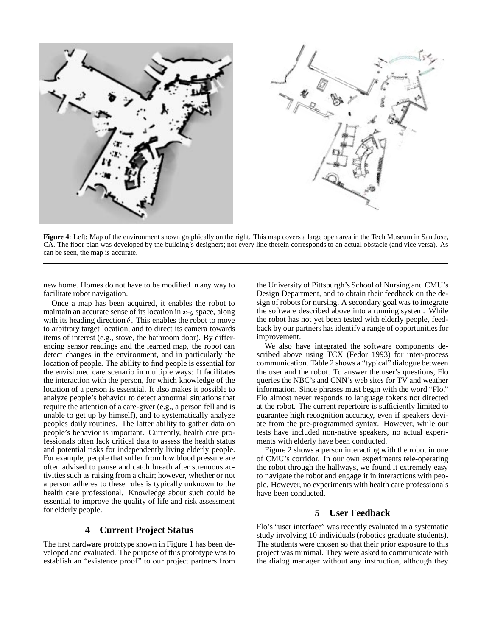

**Figure 4**: Left: Map of the environment shown graphically on the right. This map covers a large open area in the Tech Museum in San Jose, CA. The floor plan was developed by the building's designers; not every line therein corresponds to an actual obstacle (and vice versa). As can be seen, the map is accurate.

new home. Homes do not have to be modified in any way to facilitate robot navigation.

Once a map has been acquired, it enables the robot to maintain an accurate sense of its location in  $x-y$  space, along with its heading direction  $\theta$ . This enables the robot to move to arbitrary target location, and to direct its camera towards items of interest (e.g., stove, the bathroom door). By differencing sensor readings and the learned map, the robot can detect changes in the environment, and in particularly the location of people. The ability to find people is essential for the envisioned care scenario in multiple ways: It facilitates the interaction with the person, for which knowledge of the location of a person is essential. It also makes it possible to analyze people's behavior to detect abnormal situations that require the attention of a care-giver (e.g., a person fell and is unable to get up by himself), and to systematically analyze peoples daily routines. The latter ability to gather data on people's behavior is important. Currently, health care professionals often lack critical data to assess the health status and potential risks for independently living elderly people. For example, people that suffer from low blood pressure are often advised to pause and catch breath after strenuous activities such as raising from a chair; however, whether or not a person adheres to these rules is typically unknown to the health care professional. Knowledge about such could be essential to improve the quality of life and risk assessment for elderly people.

# **4 Current Project Status**

The first hardware prototype shown in Figure 1 has been developed and evaluated. The purpose of this prototype was to establish an "existence proof" to our project partners from the University of Pittsburgh's School of Nursing and CMU's Design Department, and to obtain their feedback on the design of robots for nursing. A secondary goal was to integrate the software described above into a running system. While the robot has not yet been tested with elderly people, feedback by our partners has identify a range of opportunities for improvement.

We also have integrated the software components described above using TCX (Fedor 1993) for inter-process communication. Table 2 shows a "typical" dialogue between the user and the robot. To answer the user's questions, Flo queries the NBC's and CNN's web sites for TV and weather information. Since phrases must begin with the word "Flo," Flo almost never responds to language tokens not directed at the robot. The current repertoire is sufficiently limited to guarantee high recognition accuracy, even if speakers deviate from the pre-programmed syntax. However, while our tests have included non-native speakers, no actual experiments with elderly have been conducted.

Figure 2 shows a person interacting with the robot in one of CMU's corridor. In our own experiments tele-operating the robot through the hallways, we found it extremely easy to navigate the robot and engage it in interactions with people. However, no experiments with health care professionals have been conducted.

# **5 User Feedback**

Flo's "user interface" was recently evaluated in a systematic study involving 10 individuals (robotics graduate students). The students were chosen so that their prior exposure to this project was minimal. They were asked to communicate with the dialog manager without any instruction, although they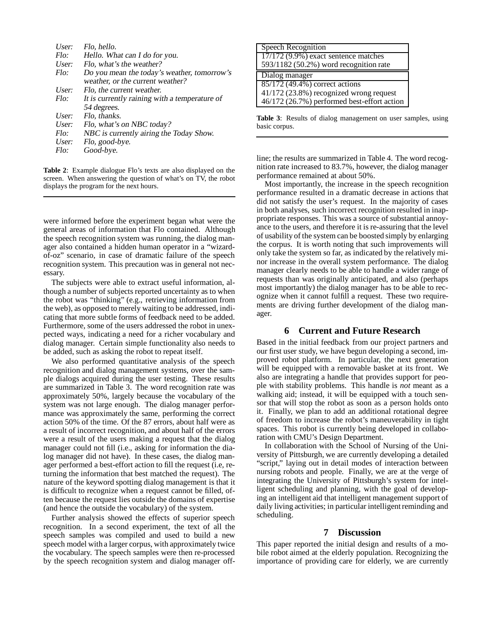| User: | Flo, hello.                                   |
|-------|-----------------------------------------------|
| Flo:  | Hello. What can I do for you.                 |
| User: | Flo, what's the weather?                      |
| Flo:  | Do you mean the today's weather, tomorrow's   |
|       | weather, or the current weather?              |
| User: | Flo, the current weather.                     |
| Flo:  | It is currently raining with a temperature of |
|       | 54 degrees.                                   |
| User: | Flo, thanks.                                  |
| User: | Flo, what's on NBC today?                     |
| Flo:  | NBC is currently airing the Today Show.       |
| User: | Flo, good-bye.                                |
| Flo:  | Good-bye.                                     |
|       |                                               |

**Table 2**: Example dialogue Flo's texts are also displayed on the screen. When answering the question of what's on TV, the robot displays the program for the next hours.

were informed before the experiment began what were the general areas of information that Flo contained. Although the speech recognition system was running, the dialog manager also contained a hidden human operator in a "wizardof-oz" scenario, in case of dramatic failure of the speech recognition system. This precaution was in general not necessary.

The subjects were able to extract useful information, although a number of subjects reported uncertainty as to when the robot was "thinking" (e.g., retrieving information from the web), as opposed to merely waiting to be addressed, indicating that more subtle forms of feedback need to be added. Furthermore, some of the users addressed the robot in unexpected ways, indicating a need for a richer vocabulary and dialog manager. Certain simple functionality also needs to be added, such as asking the robot to repeat itself.

We also performed quantitative analysis of the speech recognition and dialog management systems, over the sample dialogs acquired during the user testing. These results are summarized in Table 3. The word recognition rate was approximately 50%, largely because the vocabulary of the system was not large enough. The dialog manager performance was approximately the same, performing the correct action 50% of the time. Of the 87 errors, about half were as a result of incorrect recognition, and about half of the errors were a result of the users making a request that the dialog manager could not fill (i.e., asking for information the dialog manager did not have). In these cases, the dialog manager performed a best-effort action to fill the request (i.e, returning the information that best matched the request). The nature of the keyword spotting dialog management is that it is difficult to recognize when a request cannot be filled, often because the request lies outside the domains of expertise (and hence the outside the vocabulary) of the system.

Further analysis showed the effects of superior speech recognition. In a second experiment, the text of all the speech samples was compiled and used to build a new speech model with a larger corpus, with approximately twice the vocabulary. The speech samples were then re-processed by the speech recognition system and dialog manager off-

| Speech Recognition                          |
|---------------------------------------------|
| 17/172 (9.9%) exact sentence matches        |
| 593/1182 (50.2%) word recognition rate      |
| Dialog manager                              |
| 85/172 (49.4%) correct actions              |
| 41/172 (23.8%) recognized wrong request     |
| 46/172 (26.7%) performed best-effort action |

**Table 3**: Results of dialog management on user samples, using basic corpus.

line; the results are summarized in Table 4. The word recognition rate increased to 83.7%, however, the dialog manager performance remained at about 50%.

Most importantly, the increase in the speech recognition performance resulted in a dramatic decrease in actions that did not satisfy the user's request. In the majority of cases in both analyses, such incorrect recognition resulted in inappropriate responses. This was a source of substantial annoyance to the users, and therefore it is re-assuring that the level of usability of the system can be boosted simply by enlarging the corpus. It is worth noting that such improvements will only take the system so far, as indicated by the relatively minor increase in the overall system performance. The dialog manager clearly needs to be able to handle a wider range of requests than was originally anticipated, and also (perhaps most importantly) the dialog manager has to be able to recognize when it cannot fulfill a request. These two requirements are driving further development of the dialog manager.

# **6 Current and Future Research**

Based in the initial feedback from our project partners and our first user study, we have begun developing a second, improved robot platform. In particular, the next generation will be equipped with a removable basket at its front. We also are integrating a handle that provides support for people with stability problems. This handle is *not* meant as a walking aid; instead, it will be equipped with a touch sensor that will stop the robot as soon as a person holds onto it. Finally, we plan to add an additional rotational degree of freedom to increase the robot's maneuverability in tight spaces. This robot is currently being developed in collaboration with CMU's Design Department.

In collaboration with the School of Nursing of the University of Pittsburgh, we are currently developing a detailed "script," laying out in detail modes of interaction between nursing robots and people. Finally, we are at the verge of integrating the University of Pittsburgh's system for intelligent scheduling and planning, with the goal of developing an intelligent aid that intelligent management support of daily living activities; in particular intelligent reminding and scheduling.

# **7 Discussion**

This paper reported the initial design and results of a mobile robot aimed at the elderly population. Recognizing the importance of providing care for elderly, we are currently